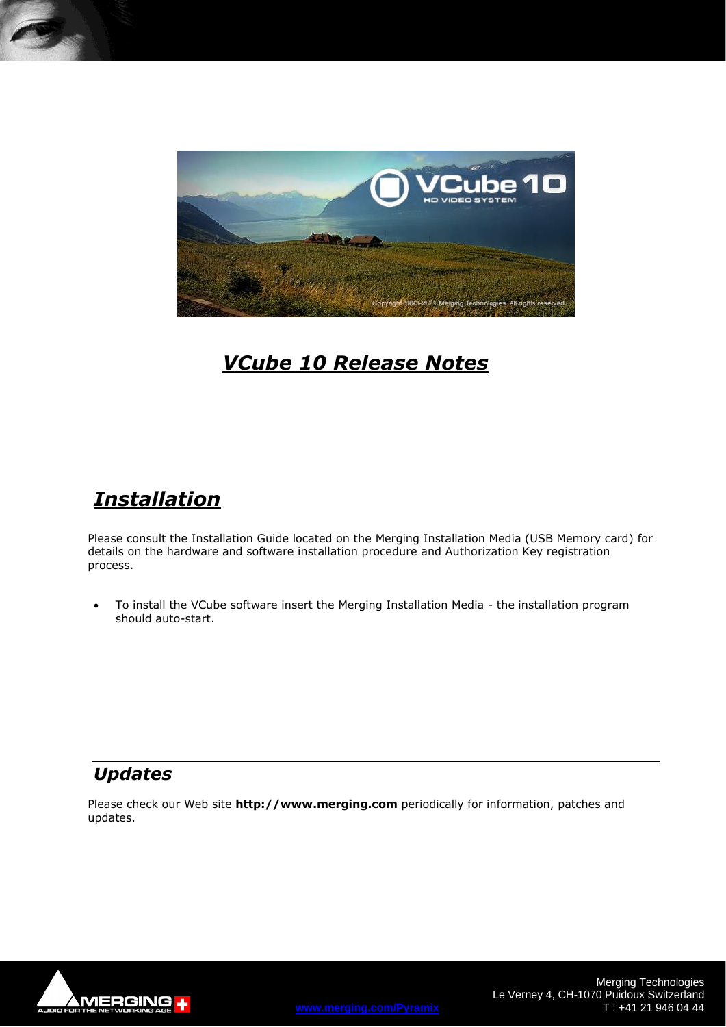

# *VCube 10 Release Notes*

# *Installation*

Please consult the Installation Guide located on the Merging Installation Media (USB Memory card) for details on the hardware and software installation procedure and Authorization Key registration process.

• To install the VCube software insert the Merging Installation Media - the installation program should auto-start.

## *Updates*

Please check our Web site **http://www.merging.com** periodically for information, patches and updates.

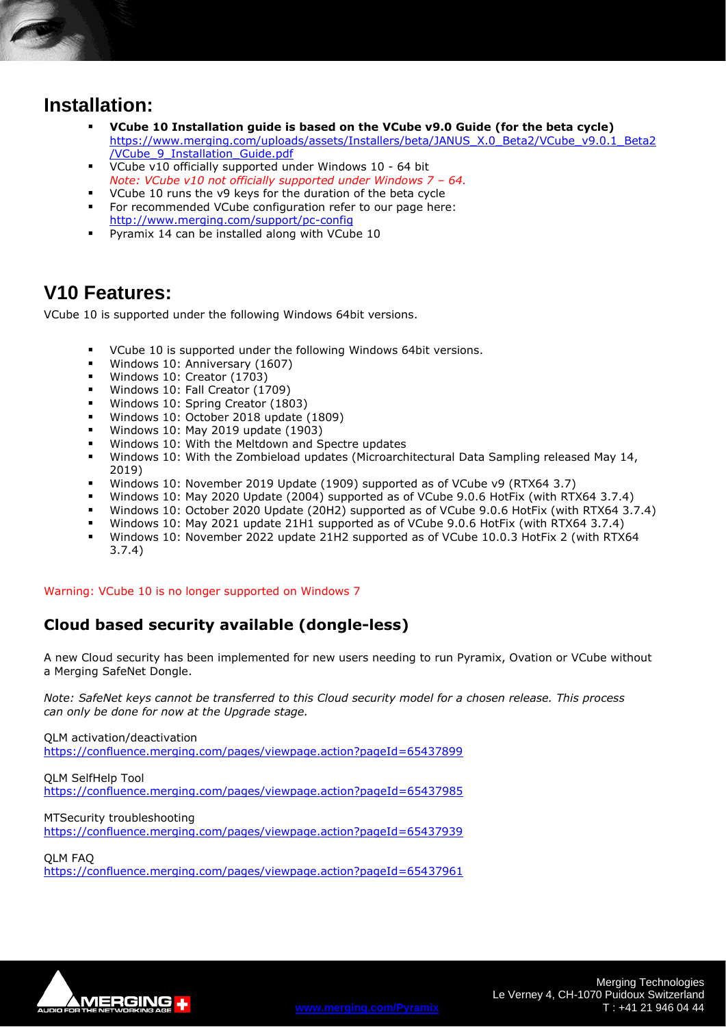### **Installation:**

- **VCube 10 Installation guide is based on the VCube v9.0 Guide (for the beta cycle)** [https://www.merging.com/uploads/assets/Installers/beta/JANUS\\_X.0\\_Beta2/VCube\\_v9.0.1\\_Beta2](https://www.merging.com/uploads/assets/Installers/beta/JANUS_X.0_Beta2/VCube_v9.0.1_Beta2/VCube_9_Installation_Guide.pdf) [/VCube\\_9\\_Installation\\_Guide.pdf](https://www.merging.com/uploads/assets/Installers/beta/JANUS_X.0_Beta2/VCube_v9.0.1_Beta2/VCube_9_Installation_Guide.pdf)
- VCube v10 officially supported under Windows 10 64 bit *Note: VCube v10 not officially supported under Windows 7 – 64.*
- VCube 10 runs the v9 keys for the duration of the beta cycle
- For recommended VCube configuration refer to our page here: <http://www.merging.com/support/pc-config>
- Pyramix 14 can be installed along with VCube 10

### **V10 Features:**

VCube 10 is supported under the following Windows 64bit versions.

- VCube 10 is supported under the following Windows 64bit versions.
- Windows 10: Anniversary (1607)
- Windows 10: Creator (1703)
- Windows 10: Fall Creator (1709)
- Windows 10: Spring Creator (1803)
- Windows 10: October 2018 update (1809)
- Windows 10: May 2019 update (1903)
- Windows 10: With the Meltdown and Spectre updates
- Windows 10: With the Zombieload updates (Microarchitectural Data Sampling released May 14, 2019)
- Windows 10: November 2019 Update (1909) supported as of VCube v9 (RTX64 3.7)
- Windows 10: May 2020 Update (2004) supported as of VCube 9.0.6 HotFix (with RTX64 3.7.4)
- Windows 10: October 2020 Update (20H2) supported as of VCube 9.0.6 HotFix (with RTX64 3.7.4)
- Windows 10: May 2021 update 21H1 supported as of VCube 9.0.6 HotFix (with RTX64 3.7.4)
- Windows 10: November 2022 update 21H2 supported as of VCube 10.0.3 HotFix 2 (with RTX64 3.7.4)

Warning: VCube 10 is no longer supported on Windows 7

### **Cloud based security available (dongle-less)**

A new Cloud security has been implemented for new users needing to run Pyramix, Ovation or VCube without a Merging SafeNet Dongle.

*Note: SafeNet keys cannot be transferred to this Cloud security model for a chosen release. This process can only be done for now at the Upgrade stage.*

QLM activation/deactivation <https://confluence.merging.com/pages/viewpage.action?pageId=65437899>

QLM SelfHelp Tool <https://confluence.merging.com/pages/viewpage.action?pageId=65437985>

MTSecurity troubleshooting <https://confluence.merging.com/pages/viewpage.action?pageId=65437939>

QLM FAQ <https://confluence.merging.com/pages/viewpage.action?pageId=65437961>

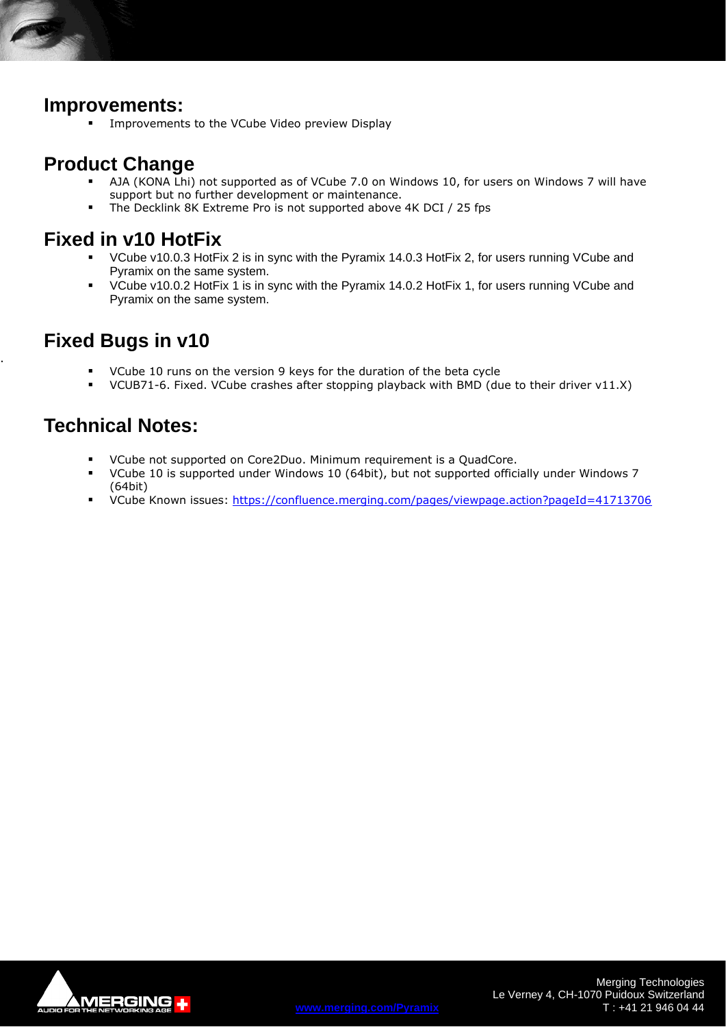### **Improvements:**

Improvements to the VCube Video preview Display

## **Product Change**

- AJA (KONA Lhi) not supported as of VCube 7.0 on Windows 10, for users on Windows 7 will have support but no further development or maintenance.
- The Decklink 8K Extreme Pro is not supported above 4K DCI / 25 fps

## **Fixed in v10 HotFix**

- VCube v10.0.3 HotFix 2 is in sync with the Pyramix 14.0.3 HotFix 2, for users running VCube and Pyramix on the same system.
- VCube v10.0.2 HotFix 1 is in sync with the Pyramix 14.0.2 HotFix 1, for users running VCube and Pyramix on the same system.

# **Fixed Bugs in v10**

.

- **•** VCube 10 runs on the version 9 keys for the duration of the beta cycle<br>•  $VCIIB71-6$  Fixed  $VCIIB720$  crashes after stopping playback with BMD (during
- VCUB71-6. Fixed. VCube crashes after stopping playback with BMD (due to their driver v11.X)

## **Technical Notes:**

- VCube not supported on Core2Duo. Minimum requirement is a QuadCore.
- VCube 10 is supported under Windows 10 (64bit), but not supported officially under Windows 7 (64bit)
- VCube Known issues: <https://confluence.merging.com/pages/viewpage.action?pageId=41713706>

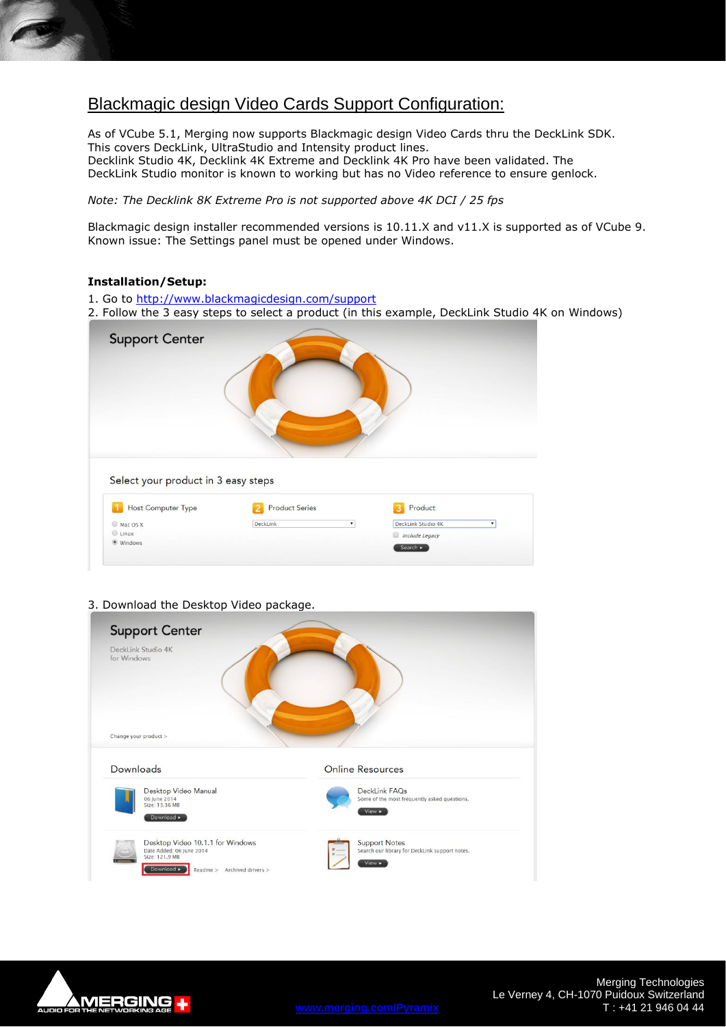### Blackmagic design Video Cards Support Configuration:

As of VCube 5.1, Merging now supports Blackmagic design Video Cards thru the DeckLink SDK. This covers DeckLink, UltraStudio and Intensity product lines. Decklink Studio 4K, Decklink 4K Extreme and Decklink 4K Pro have been validated. The DeckLink Studio monitor is known to working but has no Video reference to ensure genlock.

#### *Note: The Decklink 8K Extreme Pro is not supported above 4K DCI / 25 fps*

Blackmagic design installer recommended versions is 10.11.X and v11.X is supported as of VCube 9. Known issue: The Settings panel must be opened under Windows.

#### **Installation/Setup:**

- 1. Go to <http://www.blackmagicdesign.com/support>
- 2. Follow the 3 easy steps to select a product (in this example, DeckLink Studio 4K on Windows)

| <b>Support Center</b>                                     |                       |    |                             |  |
|-----------------------------------------------------------|-----------------------|----|-----------------------------|--|
| Select your product in 3 easy steps<br>Host Computer Type | <b>Product Series</b> |    | Product                     |  |
| Mac OS X                                                  | DeckLink              | ۷. | DeckLink Studio 4K          |  |
| $\odot$ Linux                                             |                       |    | Include Legacy              |  |
| · Windows                                                 |                       |    | <b>STATISTICS INSTALLED</b> |  |

#### 3. Download the Desktop Video package.



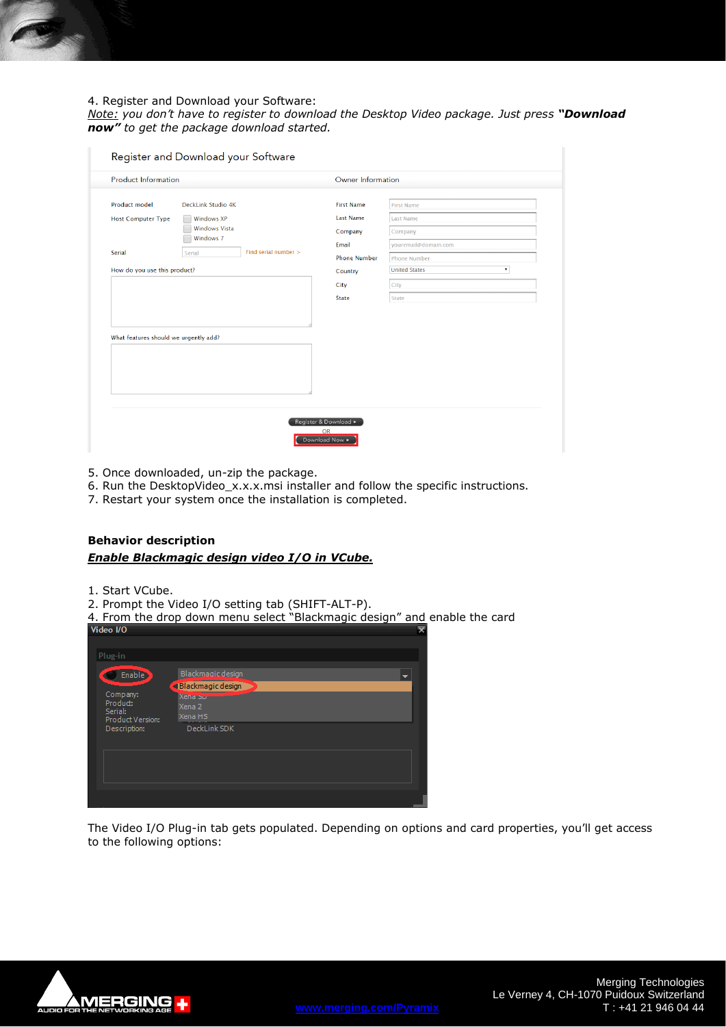#### 4. Register and Download your Software:

*Note: you don't have to register to download the Desktop Video package. Just press "Download now" to get the package download started.*

| <b>Product Information</b>                    |                                                                              |                                                           | Owner Information                                                        |  |
|-----------------------------------------------|------------------------------------------------------------------------------|-----------------------------------------------------------|--------------------------------------------------------------------------|--|
| Product model<br><b>Host Computer Type</b>    | DeckLink Studio 4K<br><b>Windows XP</b><br><b>Windows Vista</b><br>Windows 7 | <b>First Name</b><br><b>Last Name</b><br>Company<br>Email | <b>First Name</b><br><b>Last Name</b><br>Company<br>youremail@domain.com |  |
| <b>Serial</b><br>How do you use this product? | Find serial number ><br>Serial                                               | <b>Phone Number</b><br>Country<br>City                    | <b>Phone Number</b><br><b>United States</b><br>۰.<br>City                |  |
|                                               |                                                                              | <b>State</b>                                              | State                                                                    |  |
| What features should we urgently add?         |                                                                              |                                                           |                                                                          |  |
|                                               |                                                                              | Register & Download ><br><b>OR</b>                        |                                                                          |  |

- 5. Once downloaded, un-zip the package.
- 6. Run the DesktopVideo\_x.x.x.msi installer and follow the specific instructions.
- 7. Restart your system once the installation is completed.

#### **Behavior description** *Enable Blackmagic design video I/O in VCube.*

- 1. Start VCube.
- 2. Prompt the Video I/O setting tab (SHIFT-ALT-P).
- 4. From the drop down menu select "Blackmagic design" and enable the card

| Video I/O                                           |                                          |  |
|-----------------------------------------------------|------------------------------------------|--|
|                                                     |                                          |  |
| Plug-in                                             |                                          |  |
| Enable                                              | Blackmagic design<br>Blackmagic design   |  |
| Company:<br>Product:<br>Serial:<br>Product Version: | Xenarson<br>Xena <sub>2</sub><br>Xena HS |  |
| Description:                                        | DeckLink SDK                             |  |
|                                                     |                                          |  |
|                                                     |                                          |  |
|                                                     |                                          |  |

The Video I/O Plug-in tab gets populated. Depending on options and card properties, you'll get access to the following options:

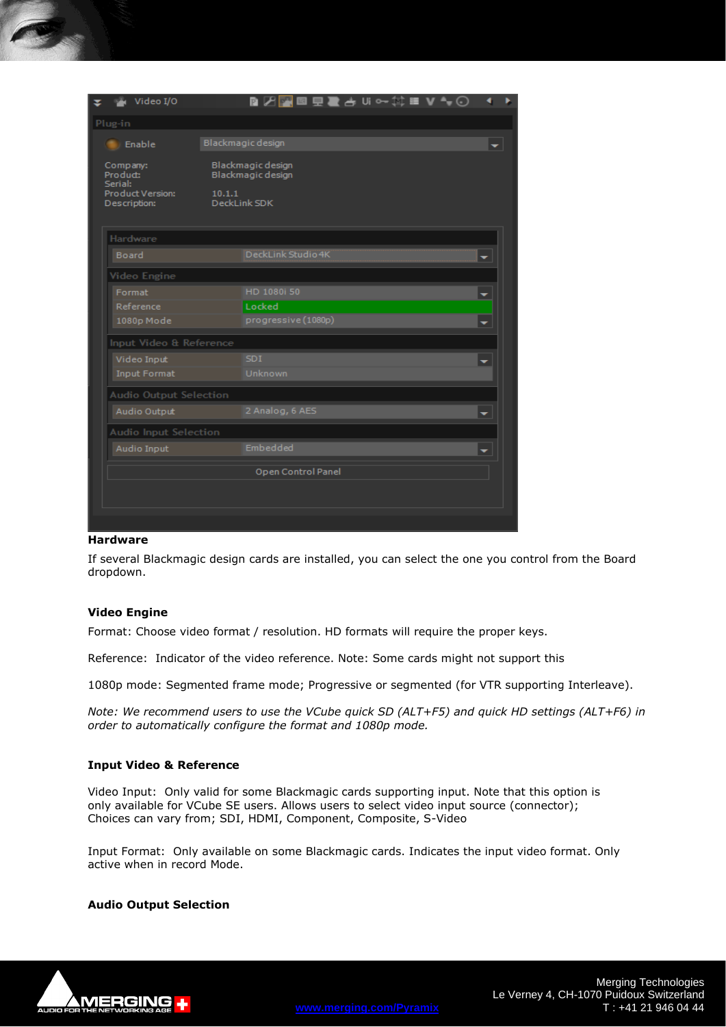| Video I/O<br>≍                                                             | <b>Ω∠₩⊠⋤⋧</b> ⋵⋓⊶⋢▦⋁+⊙                                           |    |  |
|----------------------------------------------------------------------------|------------------------------------------------------------------|----|--|
| Plug-in                                                                    |                                                                  |    |  |
| Enable                                                                     | Blackmagic design                                                |    |  |
| Company:<br>Product:<br>Serial:<br><b>Product Version:</b><br>Description: | Blackmagic design<br>Blackmagic design<br>10.1.1<br>DeckLink SDK |    |  |
| Hardware                                                                   |                                                                  |    |  |
| Board                                                                      | DeckLink Studio 4K                                               | -  |  |
| Video Engine                                                               |                                                                  |    |  |
| Format                                                                     | HD 1080i 50                                                      | ▼  |  |
| Reference                                                                  | Locked                                                           |    |  |
| 1080p Mode                                                                 | progressive (1080p)                                              | ÷  |  |
| Input Video & Reference                                                    |                                                                  |    |  |
| Video Input                                                                | <b>SDI</b>                                                       | ▼  |  |
| <b>Input Format</b>                                                        | Unknown                                                          |    |  |
| Audio Output Selection                                                     |                                                                  |    |  |
| Audio Output                                                               | 2 Analog, 6 AES                                                  | ÷. |  |
| Audio Input Selection                                                      |                                                                  |    |  |
| Audio Input                                                                | Embedded                                                         | ÷  |  |
|                                                                            | Open Control Panel                                               |    |  |
|                                                                            |                                                                  |    |  |

#### **Hardware**

If several Blackmagic design cards are installed, you can select the one you control from the Board dropdown.

#### **Video Engine**

Format: Choose video format / resolution. HD formats will require the proper keys.

Reference: Indicator of the video reference. Note: Some cards might not support this

1080p mode: Segmented frame mode; Progressive or segmented (for VTR supporting Interleave).

*Note: We recommend users to use the VCube quick SD (ALT+F5) and quick HD settings (ALT+F6) in order to automatically configure the format and 1080p mode.*

#### **Input Video & Reference**

Video Input: Only valid for some Blackmagic cards supporting input. Note that this option is only available for VCube SE users. Allows users to select video input source (connector); Choices can vary from; SDI, HDMI, Component, Composite, S-Video

Input Format: Only available on some Blackmagic cards. Indicates the input video format. Only active when in record Mode.

#### **Audio Output Selection**